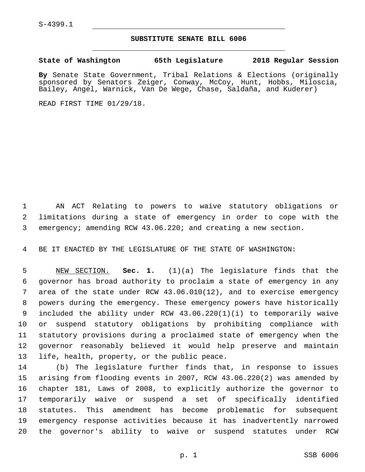S-4399.1

## **SUBSTITUTE SENATE BILL 6006**

**State of Washington 65th Legislature 2018 Regular Session**

**By** Senate State Government, Tribal Relations & Elections (originally sponsored by Senators Zeiger, Conway, McCoy, Hunt, Hobbs, Miloscia, Bailey, Angel, Warnick, Van De Wege, Chase, Saldaña, and Kuderer)

READ FIRST TIME 01/29/18.

 AN ACT Relating to powers to waive statutory obligations or limitations during a state of emergency in order to cope with the emergency; amending RCW 43.06.220; and creating a new section.

BE IT ENACTED BY THE LEGISLATURE OF THE STATE OF WASHINGTON:

 NEW SECTION. **Sec. 1.** (1)(a) The legislature finds that the governor has broad authority to proclaim a state of emergency in any area of the state under RCW 43.06.010(12), and to exercise emergency powers during the emergency. These emergency powers have historically included the ability under RCW 43.06.220(1)(i) to temporarily waive or suspend statutory obligations by prohibiting compliance with statutory provisions during a proclaimed state of emergency when the governor reasonably believed it would help preserve and maintain life, health, property, or the public peace.

 (b) The legislature further finds that, in response to issues arising from flooding events in 2007, RCW 43.06.220(2) was amended by chapter 181, Laws of 2008, to explicitly authorize the governor to temporarily waive or suspend a set of specifically identified statutes. This amendment has become problematic for subsequent emergency response activities because it has inadvertently narrowed the governor's ability to waive or suspend statutes under RCW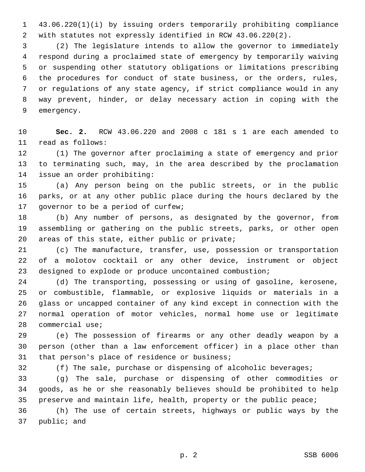43.06.220(1)(i) by issuing orders temporarily prohibiting compliance with statutes not expressly identified in RCW 43.06.220(2).

 (2) The legislature intends to allow the governor to immediately respond during a proclaimed state of emergency by temporarily waiving or suspending other statutory obligations or limitations prescribing the procedures for conduct of state business, or the orders, rules, or regulations of any state agency, if strict compliance would in any way prevent, hinder, or delay necessary action in coping with the 9 emergency.

 **Sec. 2.** RCW 43.06.220 and 2008 c 181 s 1 are each amended to 11 read as follows:

 (1) The governor after proclaiming a state of emergency and prior to terminating such, may, in the area described by the proclamation 14 issue an order prohibiting:

 (a) Any person being on the public streets, or in the public parks, or at any other public place during the hours declared by the 17 governor to be a period of curfew;

 (b) Any number of persons, as designated by the governor, from assembling or gathering on the public streets, parks, or other open 20 areas of this state, either public or private;

 (c) The manufacture, transfer, use, possession or transportation of a molotov cocktail or any other device, instrument or object designed to explode or produce uncontained combustion;

 (d) The transporting, possessing or using of gasoline, kerosene, or combustible, flammable, or explosive liquids or materials in a glass or uncapped container of any kind except in connection with the normal operation of motor vehicles, normal home use or legitimate 28 commercial use;

 (e) The possession of firearms or any other deadly weapon by a person (other than a law enforcement officer) in a place other than 31 that person's place of residence or business;

(f) The sale, purchase or dispensing of alcoholic beverages;

 (g) The sale, purchase or dispensing of other commodities or goods, as he or she reasonably believes should be prohibited to help 35 preserve and maintain life, health, property or the public peace;

 (h) The use of certain streets, highways or public ways by the 37 public; and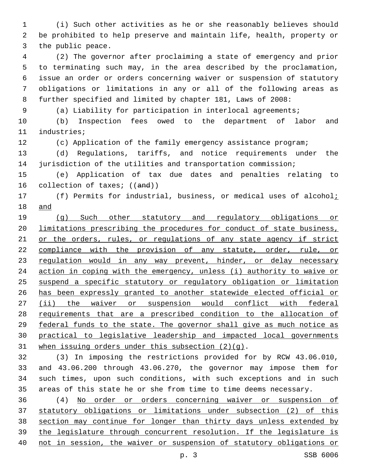(i) Such other activities as he or she reasonably believes should be prohibited to help preserve and maintain life, health, property or 3 the public peace.

 (2) The governor after proclaiming a state of emergency and prior to terminating such may, in the area described by the proclamation, issue an order or orders concerning waiver or suspension of statutory obligations or limitations in any or all of the following areas as further specified and limited by chapter 181, Laws of 2008:

(a) Liability for participation in interlocal agreements;

 (b) Inspection fees owed to the department of labor and 11 industries;

(c) Application of the family emergency assistance program;

 (d) Regulations, tariffs, and notice requirements under the jurisdiction of the utilities and transportation commission;

 (e) Application of tax due dates and penalties relating to 16 collection of taxes; ((and))

17 (f) Permits for industrial, business, or medical uses of alcohol<sub>i</sub> and

 (g) Such other statutory and regulatory obligations or limitations prescribing the procedures for conduct of state business, 21 or the orders, rules, or regulations of any state agency if strict 22 compliance with the provision of any statute, order, rule, or 23 regulation would in any way prevent, hinder, or delay necessary action in coping with the emergency, unless (i) authority to waive or suspend a specific statutory or regulatory obligation or limitation has been expressly granted to another statewide elected official or 27 (ii) the waiver or suspension would conflict with federal requirements that are a prescribed condition to the allocation of federal funds to the state. The governor shall give as much notice as practical to legislative leadership and impacted local governments 31 when issuing orders under this subsection  $(2)(q)$ .

 (3) In imposing the restrictions provided for by RCW 43.06.010, and 43.06.200 through 43.06.270, the governor may impose them for such times, upon such conditions, with such exceptions and in such areas of this state he or she from time to time deems necessary.

 (4) No order or orders concerning waiver or suspension of statutory obligations or limitations under subsection (2) of this section may continue for longer than thirty days unless extended by the legislature through concurrent resolution. If the legislature is not in session, the waiver or suspension of statutory obligations or